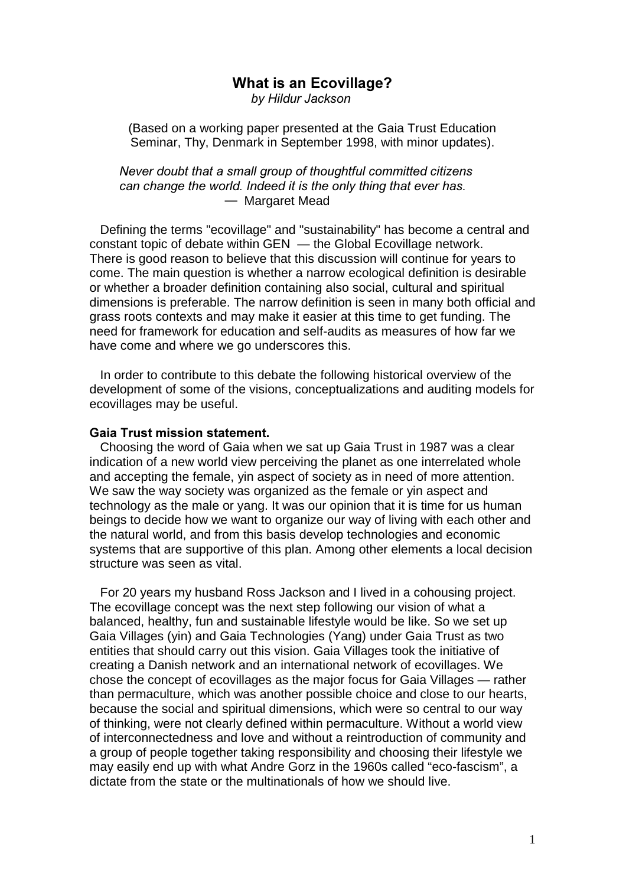# What is an Ecovillage?

by Hildur Jackson

 (Based on a working paper presented at the Gaia Trust Education Seminar, Thy, Denmark in September 1998, with minor updates).

Never doubt that a small group of thoughtful committed citizens can change the world. Indeed it is the only thing that ever has.  $-$  Margaret Mead

 Defining the terms "ecovillage" and "sustainability" has become a central and constant topic of debate within GEN — the Global Ecovillage network. There is good reason to believe that this discussion will continue for years to come. The main question is whether a narrow ecological definition is desirable or whether a broader definition containing also social, cultural and spiritual dimensions is preferable. The narrow definition is seen in many both official and grass roots contexts and may make it easier at this time to get funding. The need for framework for education and self-audits as measures of how far we have come and where we go underscores this.

 In order to contribute to this debate the following historical overview of the development of some of the visions, conceptualizations and auditing models for ecovillages may be useful.

## Gaia Trust mission statement.

 Choosing the word of Gaia when we sat up Gaia Trust in 1987 was a clear indication of a new world view perceiving the planet as one interrelated whole and accepting the female, yin aspect of society as in need of more attention. We saw the way society was organized as the female or yin aspect and technology as the male or yang. It was our opinion that it is time for us human beings to decide how we want to organize our way of living with each other and the natural world, and from this basis develop technologies and economic systems that are supportive of this plan. Among other elements a local decision structure was seen as vital.

 For 20 years my husband Ross Jackson and I lived in a cohousing project. The ecovillage concept was the next step following our vision of what a balanced, healthy, fun and sustainable lifestyle would be like. So we set up Gaia Villages (yin) and Gaia Technologies (Yang) under Gaia Trust as two entities that should carry out this vision. Gaia Villages took the initiative of creating a Danish network and an international network of ecovillages. We chose the concept of ecovillages as the major focus for Gaia Villages — rather than permaculture, which was another possible choice and close to our hearts, because the social and spiritual dimensions, which were so central to our way of thinking, were not clearly defined within permaculture. Without a world view of interconnectedness and love and without a reintroduction of community and a group of people together taking responsibility and choosing their lifestyle we may easily end up with what Andre Gorz in the 1960s called "eco-fascism", a dictate from the state or the multinationals of how we should live.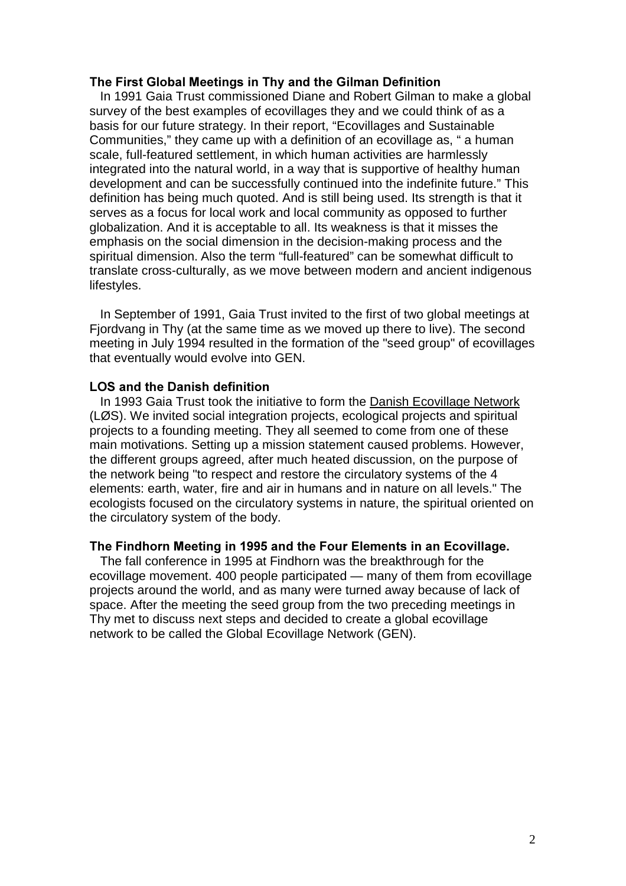## The First Global Meetings in Thy and the Gilman Definition

 In 1991 Gaia Trust commissioned Diane and Robert Gilman to make a global survey of the best examples of ecovillages they and we could think of as a basis for our future strategy. In their report, "Ecovillages and Sustainable Communities," they came up with a definition of an ecovillage as, " a human scale, full-featured settlement, in which human activities are harmlessly integrated into the natural world, in a way that is supportive of healthy human development and can be successfully continued into the indefinite future." This definition has being much quoted. And is still being used. Its strength is that it serves as a focus for local work and local community as opposed to further globalization. And it is acceptable to all. Its weakness is that it misses the emphasis on the social dimension in the decision-making process and the spiritual dimension. Also the term "full-featured" can be somewhat difficult to translate cross-culturally, as we move between modern and ancient indigenous lifestyles.

 In September of 1991, Gaia Trust invited to the first of two global meetings at Fiordyang in Thy (at the same time as we moved up there to live). The second meeting in July 1994 resulted in the formation of the "seed group" of ecovillages that eventually would evolve into GEN.

#### LOS and the Danish definition

 In 1993 Gaia Trust took the initiative to form the Danish Ecovillage Network (LØS). We invited social integration projects, ecological projects and spiritual projects to a founding meeting. They all seemed to come from one of these main motivations. Setting up a mission statement caused problems. However, the different groups agreed, after much heated discussion, on the purpose of the network being "to respect and restore the circulatory systems of the 4 elements: earth, water, fire and air in humans and in nature on all levels." The ecologists focused on the circulatory systems in nature, the spiritual oriented on the circulatory system of the body.

#### The Findhorn Meeting in 1995 and the Four Elements in an Ecovillage.

 The fall conference in 1995 at Findhorn was the breakthrough for the ecovillage movement. 400 people participated — many of them from ecovillage projects around the world, and as many were turned away because of lack of space. After the meeting the seed group from the two preceding meetings in Thy met to discuss next steps and decided to create a global ecovillage network to be called the Global Ecovillage Network (GEN).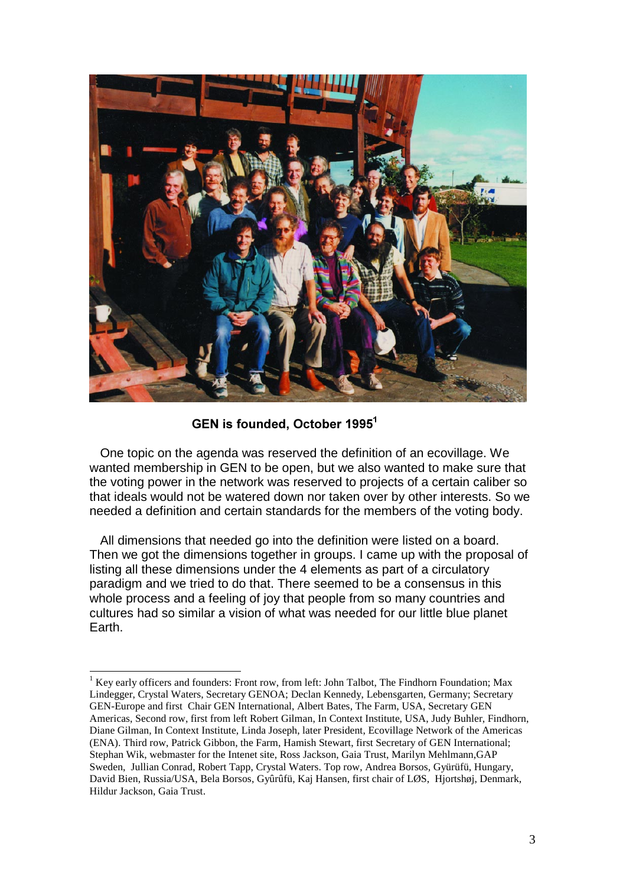

GEN is founded, October 1995<sup>1</sup>

 One topic on the agenda was reserved the definition of an ecovillage. We wanted membership in GEN to be open, but we also wanted to make sure that the voting power in the network was reserved to projects of a certain caliber so that ideals would not be watered down nor taken over by other interests. So we needed a definition and certain standards for the members of the voting body.

 All dimensions that needed go into the definition were listed on a board. Then we got the dimensions together in groups. I came up with the proposal of listing all these dimensions under the 4 elements as part of a circulatory paradigm and we tried to do that. There seemed to be a consensus in this whole process and a feeling of joy that people from so many countries and cultures had so similar a vision of what was needed for our little blue planet Earth.

 $\overline{a}$ <sup>1</sup> Key early officers and founders: Front row, from left: John Talbot, The Findhorn Foundation; Max Lindegger, Crystal Waters, Secretary GENOA; Declan Kennedy, Lebensgarten, Germany; Secretary GEN-Europe and first Chair GEN International, Albert Bates, The Farm, USA, Secretary GEN Americas, Second row, first from left Robert Gilman, In Context Institute, USA, Judy Buhler, Findhorn, Diane Gilman, In Context Institute, Linda Joseph, later President, Ecovillage Network of the Americas (ENA). Third row, Patrick Gibbon, the Farm, Hamish Stewart, first Secretary of GEN International; Stephan Wik, webmaster for the Intenet site, Ross Jackson, Gaia Trust, Marilyn Mehlmann,GAP Sweden, Jullian Conrad, Robert Tapp, Crystal Waters. Top row, Andrea Borsos, Gyürüfü, Hungary, David Bien, Russia/USA, Bela Borsos, Gyûrûfü, Kaj Hansen, first chair of LØS, Hjortshøj, Denmark, Hildur Jackson, Gaia Trust.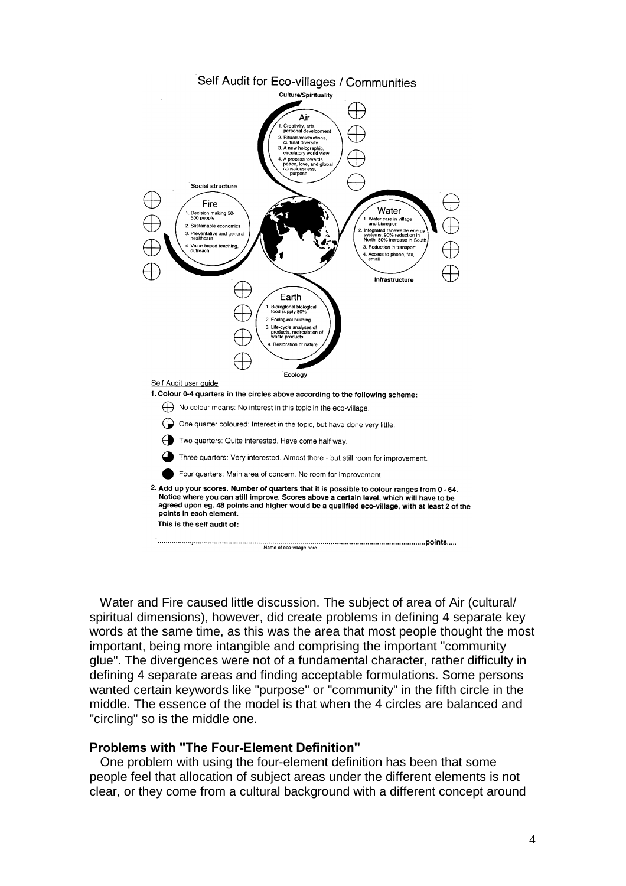

 Water and Fire caused little discussion. The subject of area of Air (cultural/ spiritual dimensions), however, did create problems in defining 4 separate key words at the same time, as this was the area that most people thought the most important, being more intangible and comprising the important "community glue". The divergences were not of a fundamental character, rather difficulty in defining 4 separate areas and finding acceptable formulations. Some persons wanted certain keywords like "purpose" or "community" in the fifth circle in the middle. The essence of the model is that when the 4 circles are balanced and "circling" so is the middle one.

## Problems with "The Four-Element Definition"

 One problem with using the four-element definition has been that some people feel that allocation of subject areas under the different elements is not clear, or they come from a cultural background with a different concept around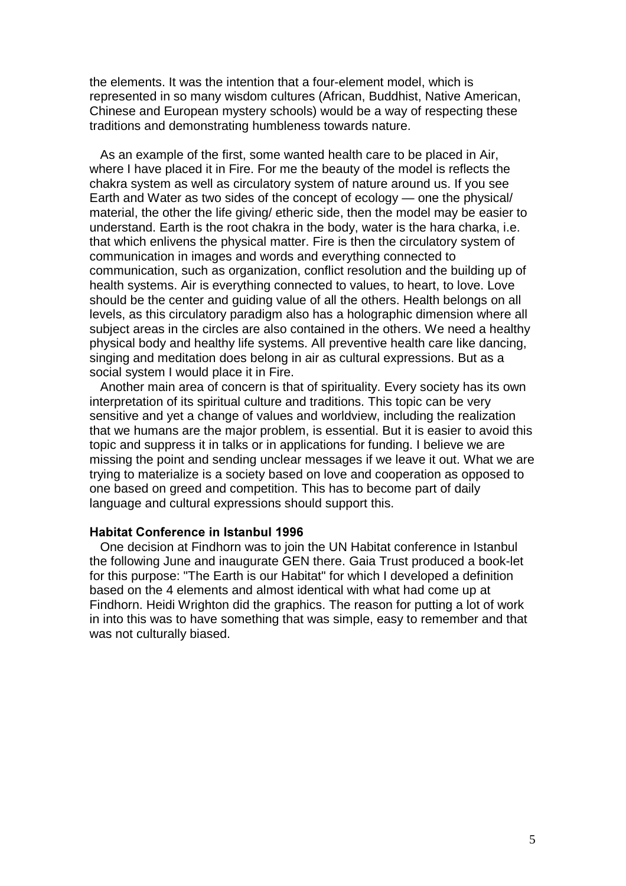the elements. It was the intention that a four-element model, which is represented in so many wisdom cultures (African, Buddhist, Native American, Chinese and European mystery schools) would be a way of respecting these traditions and demonstrating humbleness towards nature.

 As an example of the first, some wanted health care to be placed in Air, where I have placed it in Fire. For me the beauty of the model is reflects the chakra system as well as circulatory system of nature around us. If you see Earth and Water as two sides of the concept of ecology — one the physical/ material, the other the life giving/ etheric side, then the model may be easier to understand. Earth is the root chakra in the body, water is the hara charka, i.e. that which enlivens the physical matter. Fire is then the circulatory system of communication in images and words and everything connected to communication, such as organization, conflict resolution and the building up of health systems. Air is everything connected to values, to heart, to love. Love should be the center and guiding value of all the others. Health belongs on all levels, as this circulatory paradigm also has a holographic dimension where all subject areas in the circles are also contained in the others. We need a healthy physical body and healthy life systems. All preventive health care like dancing, singing and meditation does belong in air as cultural expressions. But as a social system I would place it in Fire.

 Another main area of concern is that of spirituality. Every society has its own interpretation of its spiritual culture and traditions. This topic can be very sensitive and yet a change of values and worldview, including the realization that we humans are the major problem, is essential. But it is easier to avoid this topic and suppress it in talks or in applications for funding. I believe we are missing the point and sending unclear messages if we leave it out. What we are trying to materialize is a society based on love and cooperation as opposed to one based on greed and competition. This has to become part of daily language and cultural expressions should support this.

#### Habitat Conference in Istanbul 1996

 One decision at Findhorn was to join the UN Habitat conference in Istanbul the following June and inaugurate GEN there. Gaia Trust produced a book-let for this purpose: "The Earth is our Habitat" for which I developed a definition based on the 4 elements and almost identical with what had come up at Findhorn. Heidi Wrighton did the graphics. The reason for putting a lot of work in into this was to have something that was simple, easy to remember and that was not culturally biased.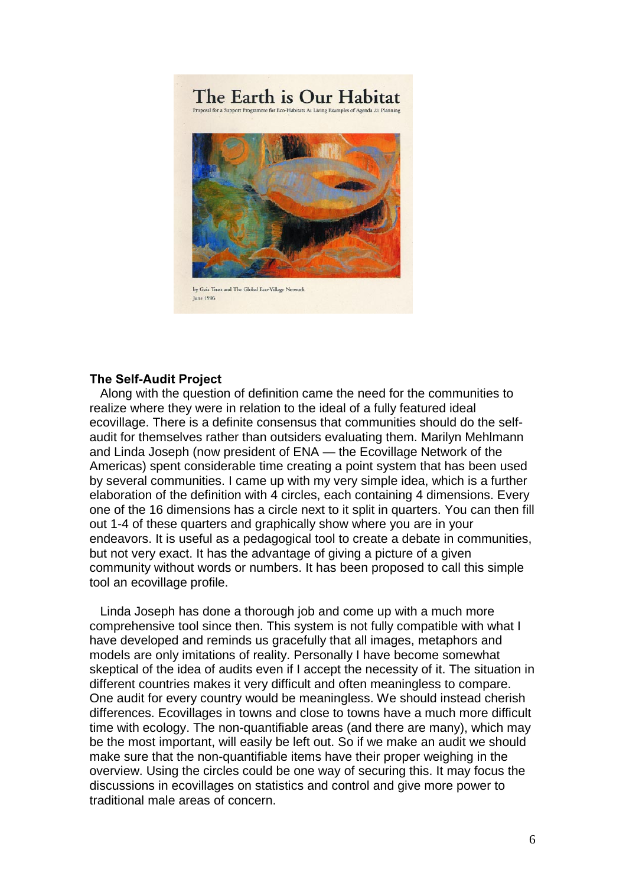

## The Self-Audit Project

 Along with the question of definition came the need for the communities to realize where they were in relation to the ideal of a fully featured ideal ecovillage. There is a definite consensus that communities should do the selfaudit for themselves rather than outsiders evaluating them. Marilyn Mehlmann and Linda Joseph (now president of ENA — the Ecovillage Network of the Americas) spent considerable time creating a point system that has been used by several communities. I came up with my very simple idea, which is a further elaboration of the definition with 4 circles, each containing 4 dimensions. Every one of the 16 dimensions has a circle next to it split in quarters. You can then fill out 1-4 of these quarters and graphically show where you are in your endeavors. It is useful as a pedagogical tool to create a debate in communities, but not very exact. It has the advantage of giving a picture of a given community without words or numbers. It has been proposed to call this simple tool an ecovillage profile.

 Linda Joseph has done a thorough job and come up with a much more comprehensive tool since then. This system is not fully compatible with what I have developed and reminds us gracefully that all images, metaphors and models are only imitations of reality. Personally I have become somewhat skeptical of the idea of audits even if I accept the necessity of it. The situation in different countries makes it very difficult and often meaningless to compare. One audit for every country would be meaningless. We should instead cherish differences. Ecovillages in towns and close to towns have a much more difficult time with ecology. The non-quantifiable areas (and there are many), which may be the most important, will easily be left out. So if we make an audit we should make sure that the non-quantifiable items have their proper weighing in the overview. Using the circles could be one way of securing this. It may focus the discussions in ecovillages on statistics and control and give more power to traditional male areas of concern.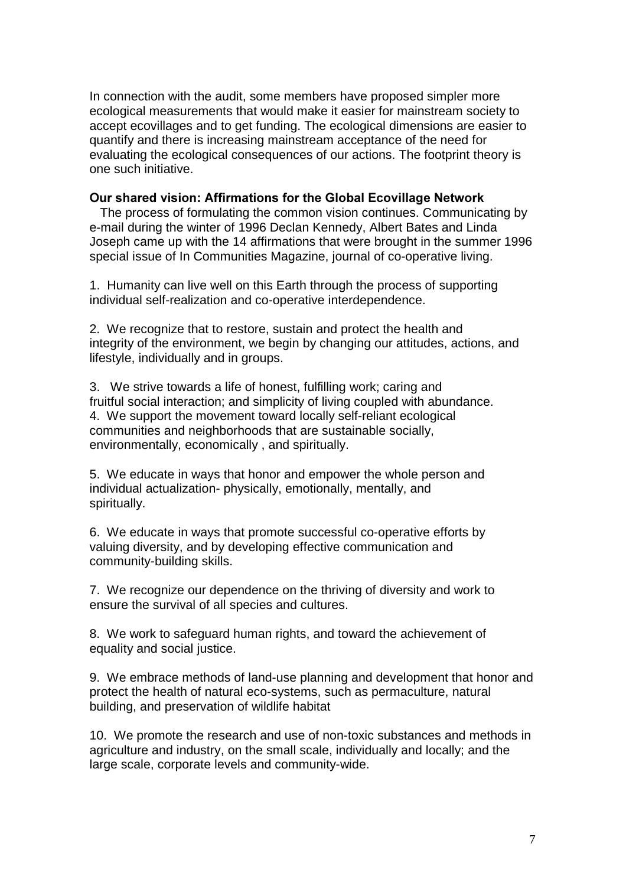In connection with the audit, some members have proposed simpler more ecological measurements that would make it easier for mainstream society to accept ecovillages and to get funding. The ecological dimensions are easier to quantify and there is increasing mainstream acceptance of the need for evaluating the ecological consequences of our actions. The footprint theory is one such initiative.

## Our shared vision: Affirmations for the Global Ecovillage Network

 The process of formulating the common vision continues. Communicating by e-mail during the winter of 1996 Declan Kennedy, Albert Bates and Linda Joseph came up with the 14 affirmations that were brought in the summer 1996 special issue of In Communities Magazine, journal of co-operative living.

1. Humanity can live well on this Earth through the process of supporting individual self-realization and co-operative interdependence.

2. We recognize that to restore, sustain and protect the health and integrity of the environment, we begin by changing our attitudes, actions, and lifestyle, individually and in groups.

3. We strive towards a life of honest, fulfilling work; caring and fruitful social interaction; and simplicity of living coupled with abundance. 4. We support the movement toward locally self-reliant ecological communities and neighborhoods that are sustainable socially, environmentally, economically , and spiritually.

5. We educate in ways that honor and empower the whole person and individual actualization- physically, emotionally, mentally, and spiritually.

6. We educate in ways that promote successful co-operative efforts by valuing diversity, and by developing effective communication and community-building skills.

7. We recognize our dependence on the thriving of diversity and work to ensure the survival of all species and cultures.

8. We work to safeguard human rights, and toward the achievement of equality and social justice.

9. We embrace methods of land-use planning and development that honor and protect the health of natural eco-systems, such as permaculture, natural building, and preservation of wildlife habitat

10. We promote the research and use of non-toxic substances and methods in agriculture and industry, on the small scale, individually and locally; and the large scale, corporate levels and community-wide.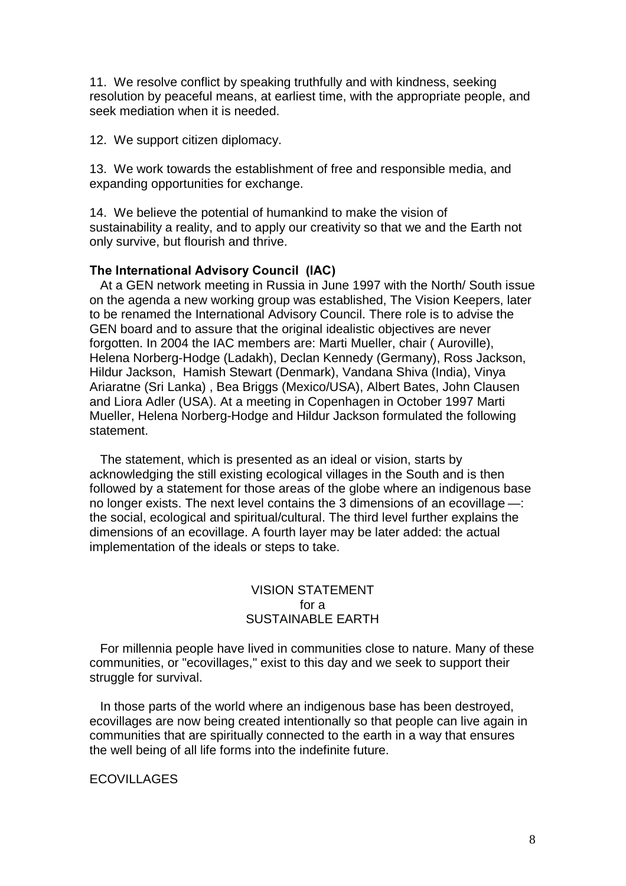11. We resolve conflict by speaking truthfully and with kindness, seeking resolution by peaceful means, at earliest time, with the appropriate people, and seek mediation when it is needed.

12. We support citizen diplomacy.

13. We work towards the establishment of free and responsible media, and expanding opportunities for exchange.

14. We believe the potential of humankind to make the vision of sustainability a reality, and to apply our creativity so that we and the Earth not only survive, but flourish and thrive.

## The International Advisory Council (IAC)

 At a GEN network meeting in Russia in June 1997 with the North/ South issue on the agenda a new working group was established, The Vision Keepers, later to be renamed the International Advisory Council. There role is to advise the GEN board and to assure that the original idealistic objectives are never forgotten. In 2004 the IAC members are: Marti Mueller, chair ( Auroville), Helena Norberg-Hodge (Ladakh), Declan Kennedy (Germany), Ross Jackson, Hildur Jackson, Hamish Stewart (Denmark), Vandana Shiva (India), Vinya Ariaratne (Sri Lanka) , Bea Briggs (Mexico/USA), Albert Bates, John Clausen and Liora Adler (USA). At a meeting in Copenhagen in October 1997 Marti Mueller, Helena Norberg-Hodge and Hildur Jackson formulated the following statement.

 The statement, which is presented as an ideal or vision, starts by acknowledging the still existing ecological villages in the South and is then followed by a statement for those areas of the globe where an indigenous base no longer exists. The next level contains the 3 dimensions of an ecovillage —: the social, ecological and spiritual/cultural. The third level further explains the dimensions of an ecovillage. A fourth layer may be later added: the actual implementation of the ideals or steps to take.

# VISION STATEMENT for a SUSTAINABLE EARTH

 For millennia people have lived in communities close to nature. Many of these communities, or "ecovillages," exist to this day and we seek to support their struggle for survival.

 In those parts of the world where an indigenous base has been destroyed, ecovillages are now being created intentionally so that people can live again in communities that are spiritually connected to the earth in a way that ensures the well being of all life forms into the indefinite future.

## ECOVILLAGES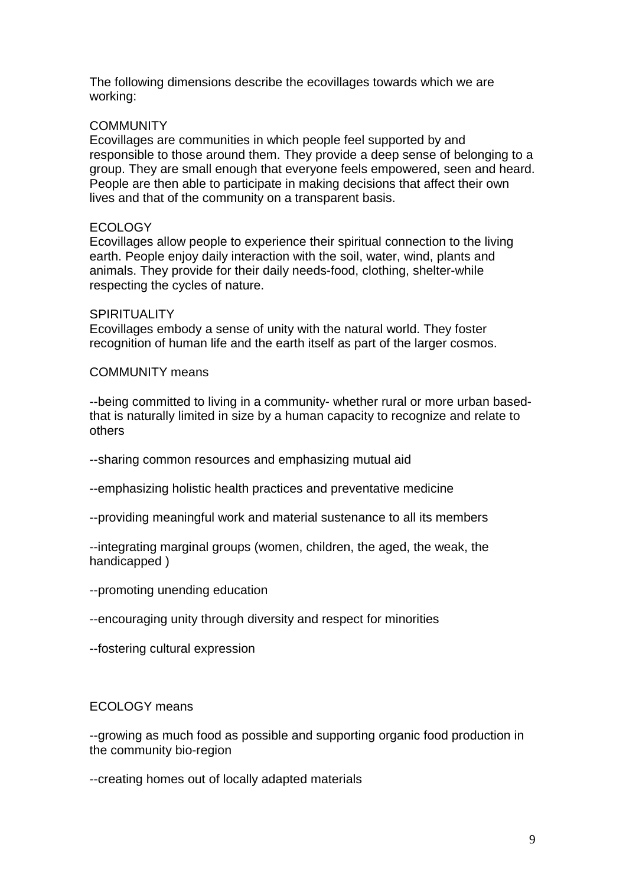The following dimensions describe the ecovillages towards which we are working:

# **COMMUNITY**

Ecovillages are communities in which people feel supported by and responsible to those around them. They provide a deep sense of belonging to a group. They are small enough that everyone feels empowered, seen and heard. People are then able to participate in making decisions that affect their own lives and that of the community on a transparent basis.

# ECOLOGY

Ecovillages allow people to experience their spiritual connection to the living earth. People enjoy daily interaction with the soil, water, wind, plants and animals. They provide for their daily needs-food, clothing, shelter-while respecting the cycles of nature.

## **SPIRITUALITY**

Ecovillages embody a sense of unity with the natural world. They foster recognition of human life and the earth itself as part of the larger cosmos.

## COMMUNITY means

--being committed to living in a community- whether rural or more urban basedthat is naturally limited in size by a human capacity to recognize and relate to others

--sharing common resources and emphasizing mutual aid

--emphasizing holistic health practices and preventative medicine

--providing meaningful work and material sustenance to all its members

--integrating marginal groups (women, children, the aged, the weak, the handicapped )

- --promoting unending education
- --encouraging unity through diversity and respect for minorities

--fostering cultural expression

## ECOLOGY means

--growing as much food as possible and supporting organic food production in the community bio-region

--creating homes out of locally adapted materials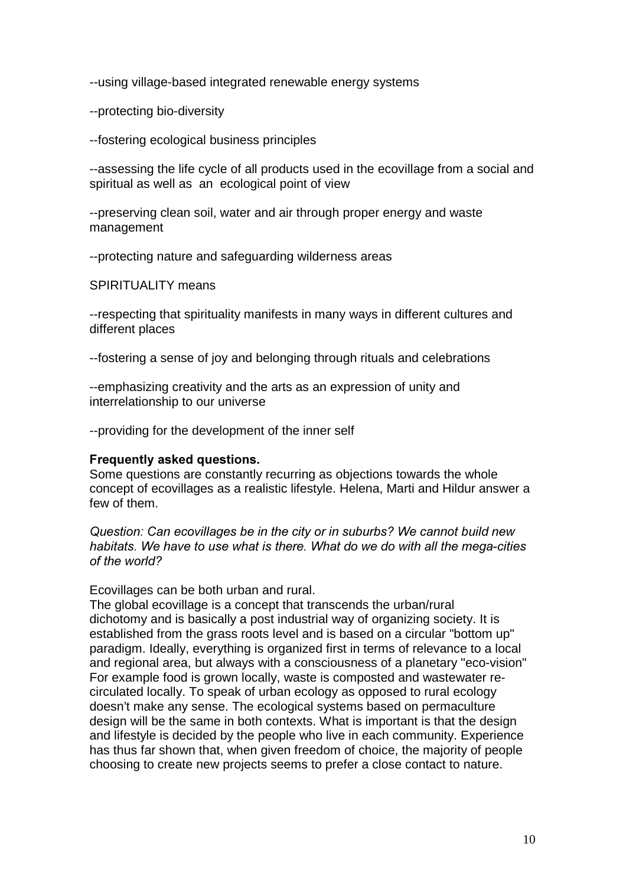--using village-based integrated renewable energy systems

--protecting bio-diversity

--fostering ecological business principles

--assessing the life cycle of all products used in the ecovillage from a social and spiritual as well as an ecological point of view

--preserving clean soil, water and air through proper energy and waste management

--protecting nature and safeguarding wilderness areas

SPIRITUALITY means

--respecting that spirituality manifests in many ways in different cultures and different places

--fostering a sense of joy and belonging through rituals and celebrations

--emphasizing creativity and the arts as an expression of unity and interrelationship to our universe

--providing for the development of the inner self

# Frequently asked questions.

Some questions are constantly recurring as objections towards the whole concept of ecovillages as a realistic lifestyle. Helena, Marti and Hildur answer a few of them.

Question: Can ecovillages be in the city or in suburbs? We cannot build new habitats. We have to use what is there. What do we do with all the mega-cities of the world?

Ecovillages can be both urban and rural.

The global ecovillage is a concept that transcends the urban/rural dichotomy and is basically a post industrial way of organizing society. It is established from the grass roots level and is based on a circular "bottom up" paradigm. Ideally, everything is organized first in terms of relevance to a local and regional area, but always with a consciousness of a planetary "eco-vision" For example food is grown locally, waste is composted and wastewater recirculated locally. To speak of urban ecology as opposed to rural ecology doesn't make any sense. The ecological systems based on permaculture design will be the same in both contexts. What is important is that the design and lifestyle is decided by the people who live in each community. Experience has thus far shown that, when given freedom of choice, the majority of people choosing to create new projects seems to prefer a close contact to nature.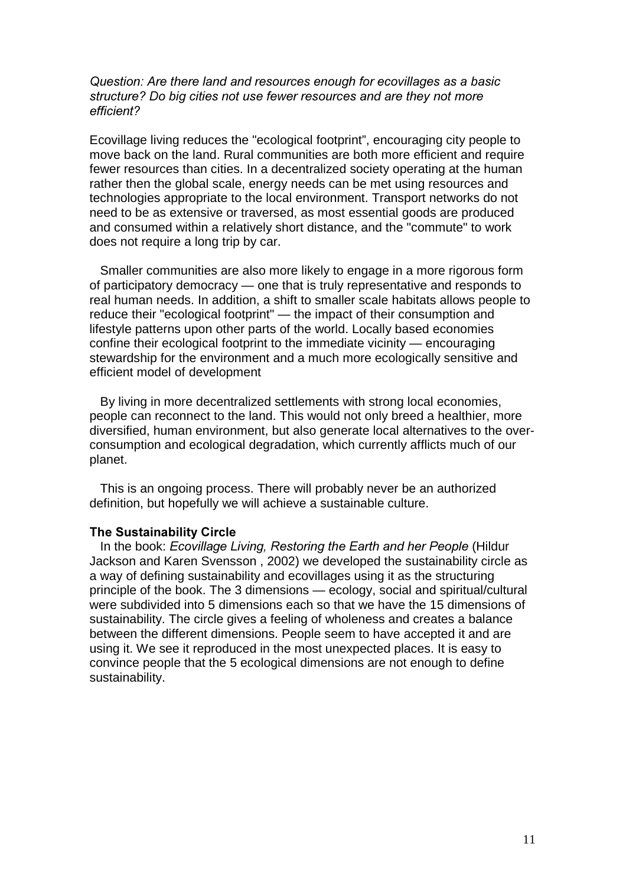## Question: Are there land and resources enough for ecovillages as a basic structure? Do big cities not use fewer resources and are they not more efficient?

Ecovillage living reduces the "ecological footprint", encouraging city people to move back on the land. Rural communities are both more efficient and require fewer resources than cities. In a decentralized society operating at the human rather then the global scale, energy needs can be met using resources and technologies appropriate to the local environment. Transport networks do not need to be as extensive or traversed, as most essential goods are produced and consumed within a relatively short distance, and the "commute" to work does not require a long trip by car.

 Smaller communities are also more likely to engage in a more rigorous form of participatory democracy — one that is truly representative and responds to real human needs. In addition, a shift to smaller scale habitats allows people to reduce their "ecological footprint" — the impact of their consumption and lifestyle patterns upon other parts of the world. Locally based economies confine their ecological footprint to the immediate vicinity — encouraging stewardship for the environment and a much more ecologically sensitive and efficient model of development

 By living in more decentralized settlements with strong local economies, people can reconnect to the land. This would not only breed a healthier, more diversified, human environment, but also generate local alternatives to the overconsumption and ecological degradation, which currently afflicts much of our planet.

 This is an ongoing process. There will probably never be an authorized definition, but hopefully we will achieve a sustainable culture.

## The Sustainability Circle

In the book: Ecovillage Living, Restoring the Earth and her People (Hildur Jackson and Karen Svensson , 2002) we developed the sustainability circle as a way of defining sustainability and ecovillages using it as the structuring principle of the book. The 3 dimensions — ecology, social and spiritual/cultural were subdivided into 5 dimensions each so that we have the 15 dimensions of sustainability. The circle gives a feeling of wholeness and creates a balance between the different dimensions. People seem to have accepted it and are using it. We see it reproduced in the most unexpected places. It is easy to convince people that the 5 ecological dimensions are not enough to define sustainability.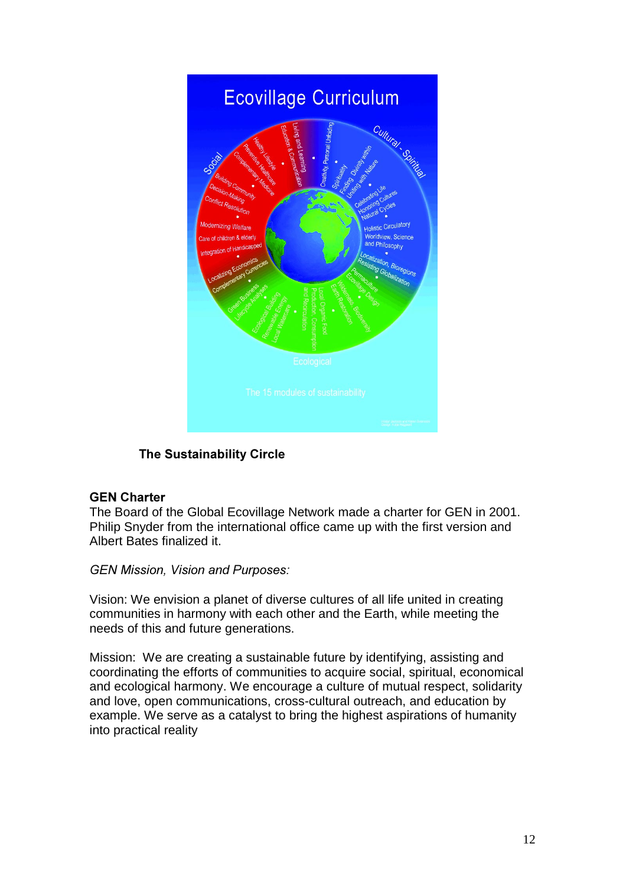

# The Sustainability Circle

# **GEN Charter**

The Board of the Global Ecovillage Network made a charter for GEN in 2001. Philip Snyder from the international office came up with the first version and Albert Bates finalized it.

GEN Mission, Vision and Purposes:

Vision: We envision a planet of diverse cultures of all life united in creating communities in harmony with each other and the Earth, while meeting the needs of this and future generations.

Mission: We are creating a sustainable future by identifying, assisting and coordinating the efforts of communities to acquire social, spiritual, economical and ecological harmony. We encourage a culture of mutual respect, solidarity and love, open communications, cross-cultural outreach, and education by example. We serve as a catalyst to bring the highest aspirations of humanity into practical reality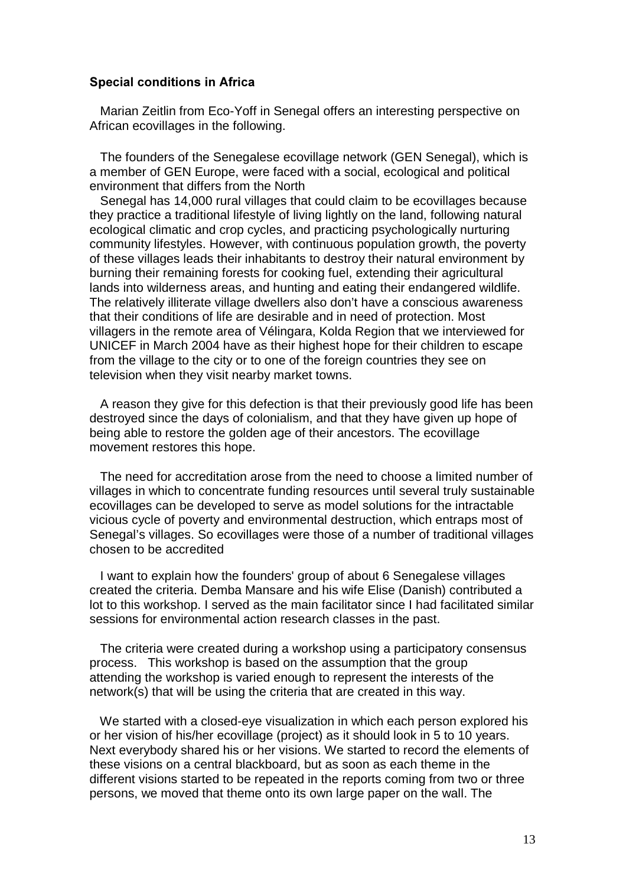#### Special conditions in Africa

 Marian Zeitlin from Eco-Yoff in Senegal offers an interesting perspective on African ecovillages in the following.

 The founders of the Senegalese ecovillage network (GEN Senegal), which is a member of GEN Europe, were faced with a social, ecological and political environment that differs from the North

 Senegal has 14,000 rural villages that could claim to be ecovillages because they practice a traditional lifestyle of living lightly on the land, following natural ecological climatic and crop cycles, and practicing psychologically nurturing community lifestyles. However, with continuous population growth, the poverty of these villages leads their inhabitants to destroy their natural environment by burning their remaining forests for cooking fuel, extending their agricultural lands into wilderness areas, and hunting and eating their endangered wildlife. The relatively illiterate village dwellers also don't have a conscious awareness that their conditions of life are desirable and in need of protection. Most villagers in the remote area of Vélingara, Kolda Region that we interviewed for UNICEF in March 2004 have as their highest hope for their children to escape from the village to the city or to one of the foreign countries they see on television when they visit nearby market towns.

 A reason they give for this defection is that their previously good life has been destroyed since the days of colonialism, and that they have given up hope of being able to restore the golden age of their ancestors. The ecovillage movement restores this hope.

 The need for accreditation arose from the need to choose a limited number of villages in which to concentrate funding resources until several truly sustainable ecovillages can be developed to serve as model solutions for the intractable vicious cycle of poverty and environmental destruction, which entraps most of Senegal's villages. So ecovillages were those of a number of traditional villages chosen to be accredited

 I want to explain how the founders' group of about 6 Senegalese villages created the criteria. Demba Mansare and his wife Elise (Danish) contributed a lot to this workshop. I served as the main facilitator since I had facilitated similar sessions for environmental action research classes in the past.

 The criteria were created during a workshop using a participatory consensus process. This workshop is based on the assumption that the group attending the workshop is varied enough to represent the interests of the network(s) that will be using the criteria that are created in this way.

 We started with a closed-eye visualization in which each person explored his or her vision of his/her ecovillage (project) as it should look in 5 to 10 years. Next everybody shared his or her visions. We started to record the elements of these visions on a central blackboard, but as soon as each theme in the different visions started to be repeated in the reports coming from two or three persons, we moved that theme onto its own large paper on the wall. The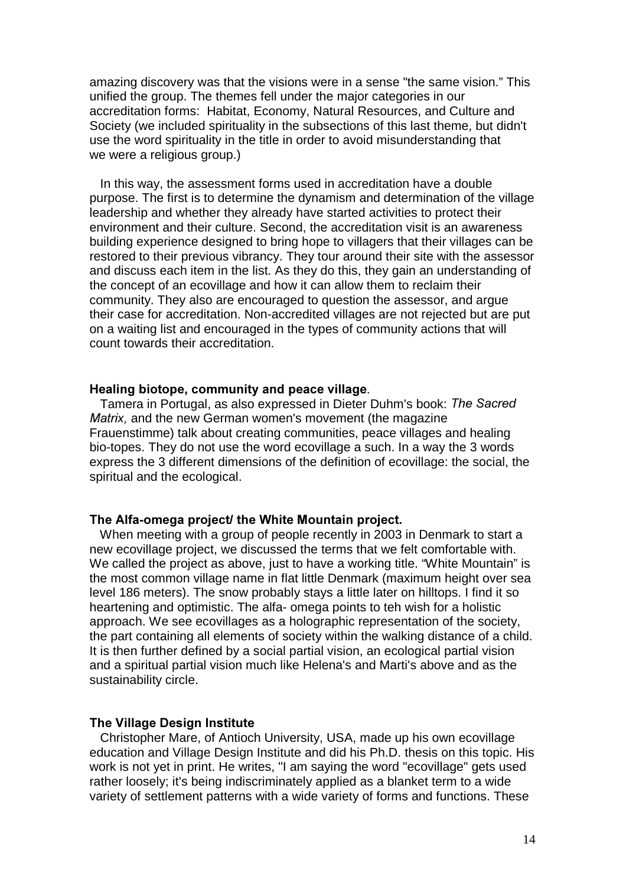amazing discovery was that the visions were in a sense "the same vision." This unified the group. The themes fell under the major categories in our accreditation forms: Habitat, Economy, Natural Resources, and Culture and Society (we included spirituality in the subsections of this last theme, but didn't use the word spirituality in the title in order to avoid misunderstanding that we were a religious group.)

 In this way, the assessment forms used in accreditation have a double purpose. The first is to determine the dynamism and determination of the village leadership and whether they already have started activities to protect their environment and their culture. Second, the accreditation visit is an awareness building experience designed to bring hope to villagers that their villages can be restored to their previous vibrancy. They tour around their site with the assessor and discuss each item in the list. As they do this, they gain an understanding of the concept of an ecovillage and how it can allow them to reclaim their community. They also are encouraged to question the assessor, and argue their case for accreditation. Non-accredited villages are not rejected but are put on a waiting list and encouraged in the types of community actions that will count towards their accreditation.

#### Healing biotope, community and peace village.

Tamera in Portugal, as also expressed in Dieter Duhm's book: The Sacred Matrix, and the new German women's movement (the magazine Frauenstimme) talk about creating communities, peace villages and healing bio-topes. They do not use the word ecovillage a such. In a way the 3 words express the 3 different dimensions of the definition of ecovillage: the social, the spiritual and the ecological.

## The Alfa-omega project/ the White Mountain project.

 When meeting with a group of people recently in 2003 in Denmark to start a new ecovillage project, we discussed the terms that we felt comfortable with. We called the project as above, just to have a working title. "White Mountain" is the most common village name in flat little Denmark (maximum height over sea level 186 meters). The snow probably stays a little later on hilltops. I find it so heartening and optimistic. The alfa- omega points to teh wish for a holistic approach. We see ecovillages as a holographic representation of the society, the part containing all elements of society within the walking distance of a child. It is then further defined by a social partial vision, an ecological partial vision and a spiritual partial vision much like Helena's and Marti's above and as the sustainability circle.

#### The Village Design Institute

 Christopher Mare, of Antioch University, USA, made up his own ecovillage education and Village Design Institute and did his Ph.D. thesis on this topic. His work is not yet in print. He writes, "I am saying the word "ecovillage" gets used rather loosely; it's being indiscriminately applied as a blanket term to a wide variety of settlement patterns with a wide variety of forms and functions. These